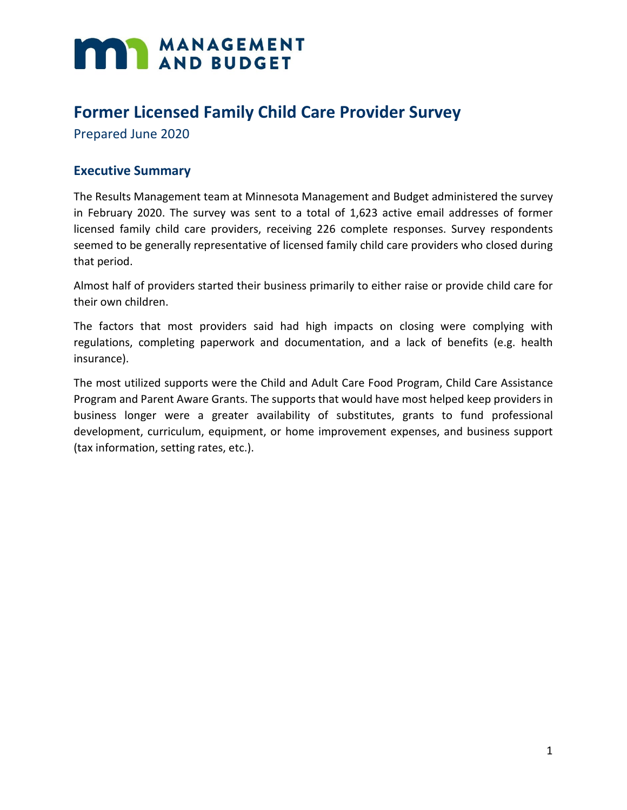# **MANAGEMENT**

# **Former Licensed Family Child Care Provider Survey**

Prepared June 2020

### **Executive Summary**

The Results Management team at Minnesota Management and Budget administered the survey in February 2020. The survey was sent to a total of 1,623 active email addresses of former licensed family child care providers, receiving 226 complete responses. Survey respondents seemed to be generally representative of licensed family child care providers who closed during that period.

Almost half of providers started their business primarily to either raise or provide child care for their own children.

The factors that most providers said had high impacts on closing were complying with regulations, completing paperwork and documentation, and a lack of benefits (e.g. health insurance).

The most utilized supports were the Child and Adult Care Food Program, Child Care Assistance Program and Parent Aware Grants. The supports that would have most helped keep providers in business longer were a greater availability of substitutes, grants to fund professional development, curriculum, equipment, or home improvement expenses, and business support (tax information, setting rates, etc.).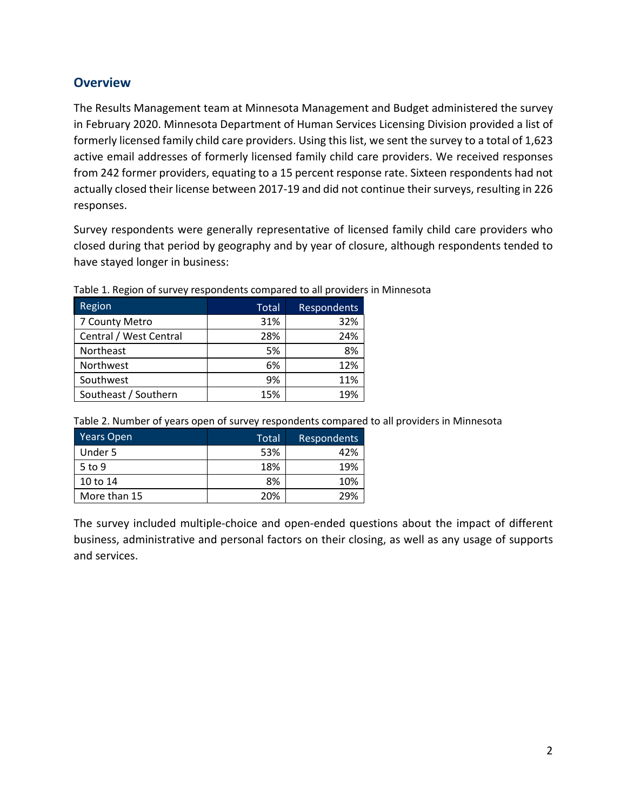## **Overview**

The Results Management team at Minnesota Management and Budget administered the survey in February 2020. Minnesota Department of Human Services Licensing Division provided a list of formerly licensed family child care providers. Using this list, we sent the survey to a total of 1,623 active email addresses of formerly licensed family child care providers. We received responses from 242 former providers, equating to a 15 percent response rate. Sixteen respondents had not actually closed their license between 2017-19 and did not continue their surveys, resulting in 226 responses.

Survey respondents were generally representative of licensed family child care providers who closed during that period by geography and by year of closure, although respondents tended to have stayed longer in business:

| Region                 | Total | Respondents |
|------------------------|-------|-------------|
| 7 County Metro         | 31%   | 32%         |
| Central / West Central | 28%   | 24%         |
| Northeast              | 5%    | 8%          |
| Northwest              | 6%    | 12%         |
| Southwest              | 9%    | 11%         |
| Southeast / Southern   | 15%   | 19%         |

Table 1. Region of survey respondents compared to all providers in Minnesota

| Table 2. Number of years open of survey respondents compared to all providers in Minnesota |  |  |  |
|--------------------------------------------------------------------------------------------|--|--|--|
|--------------------------------------------------------------------------------------------|--|--|--|

| Years Open   | Total | Respondents |
|--------------|-------|-------------|
| Under 5      | 53%   | 42%         |
| $5$ to 9     | 18%   | 19%         |
| 10 to 14     | 8%    | 10%         |
| More than 15 | 20%   | 29%         |

The survey included multiple-choice and open-ended questions about the impact of different business, administrative and personal factors on their closing, as well as any usage of supports and services.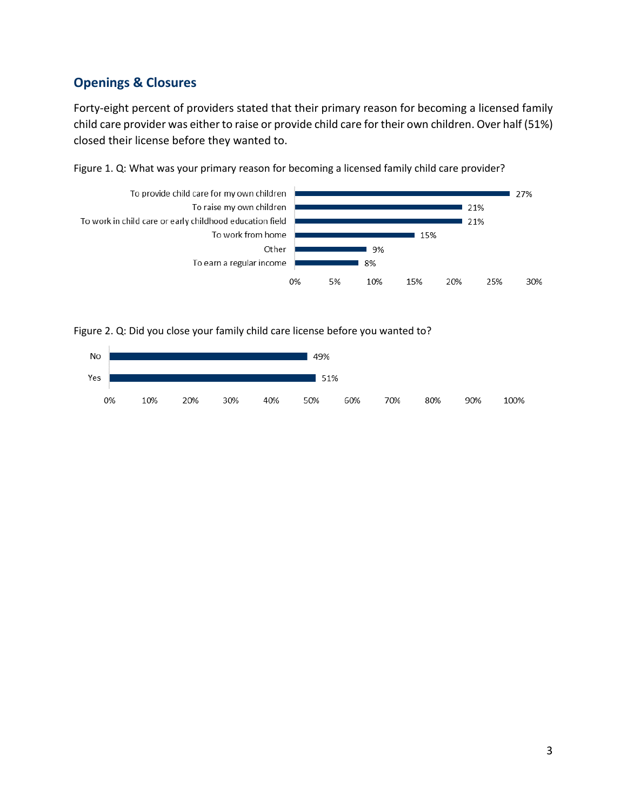# **Openings & Closures**

Forty-eight percent of providers stated that their primary reason for becoming a licensed family child care provider was either to raise or provide child care for their own children. Over half (51%) closed their license before they wanted to.





Figure 2. Q: Did you close your family child care license before you wanted to?

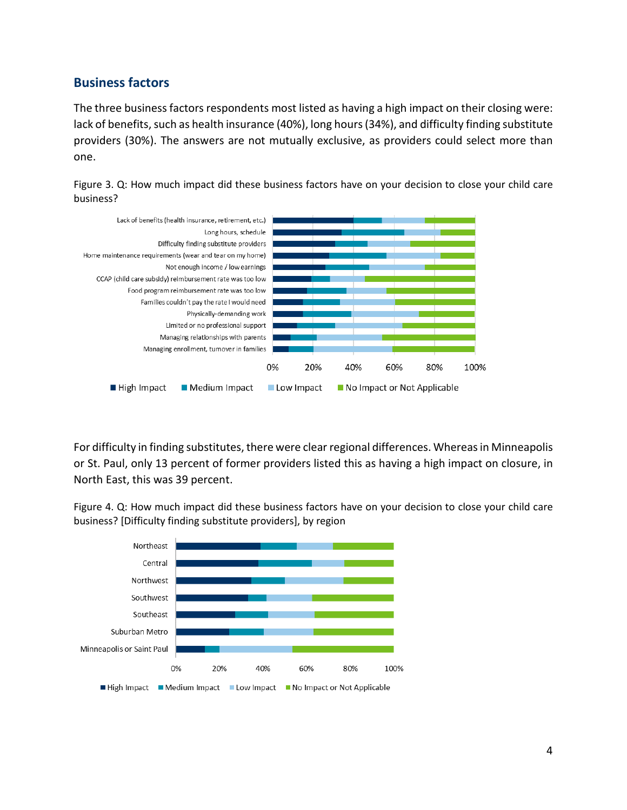#### **Business factors**

The three business factors respondents most listed as having a high impact on their closing were: lack of benefits, such as health insurance (40%), long hours (34%), and difficulty finding substitute providers (30%). The answers are not mutually exclusive, as providers could select more than one.





For difficulty in finding substitutes, there were clear regional differences. Whereas in Minneapolis or St. Paul, only 13 percent of former providers listed this as having a high impact on closure, in North East, this was 39 percent.

Figure 4. Q: How much impact did these business factors have on your decision to close your child care business? [Difficulty finding substitute providers], by region

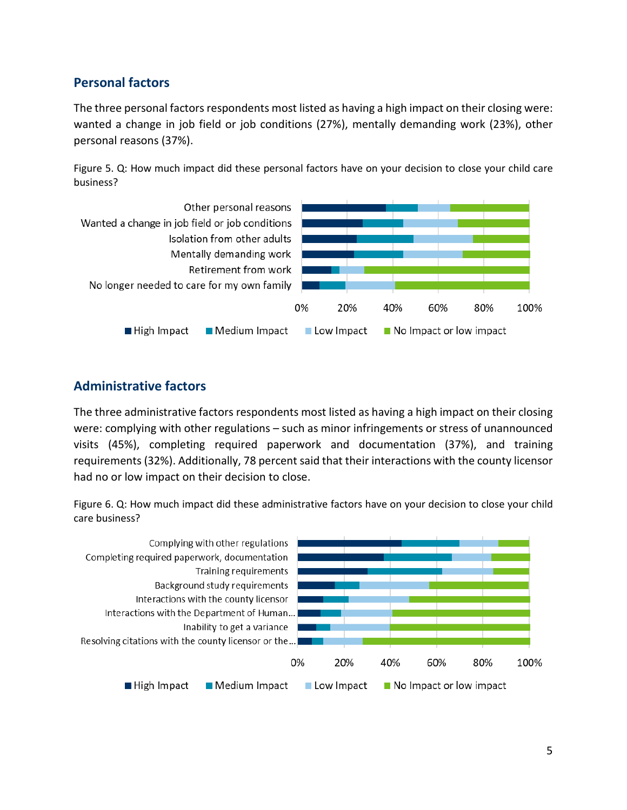#### **Personal factors**

The three personal factors respondents most listed as having a high impact on their closing were: wanted a change in job field or job conditions (27%), mentally demanding work (23%), other personal reasons (37%).

Figure 5. Q: How much impact did these personal factors have on your decision to close your child care business?



### **Administrative factors**

The three administrative factors respondents most listed as having a high impact on their closing were: complying with other regulations – such as minor infringements or stress of unannounced visits (45%), completing required paperwork and documentation (37%), and training requirements (32%). Additionally, 78 percent said that their interactions with the county licensor had no or low impact on their decision to close.

Figure 6. Q: How much impact did these administrative factors have on your decision to close your child care business?

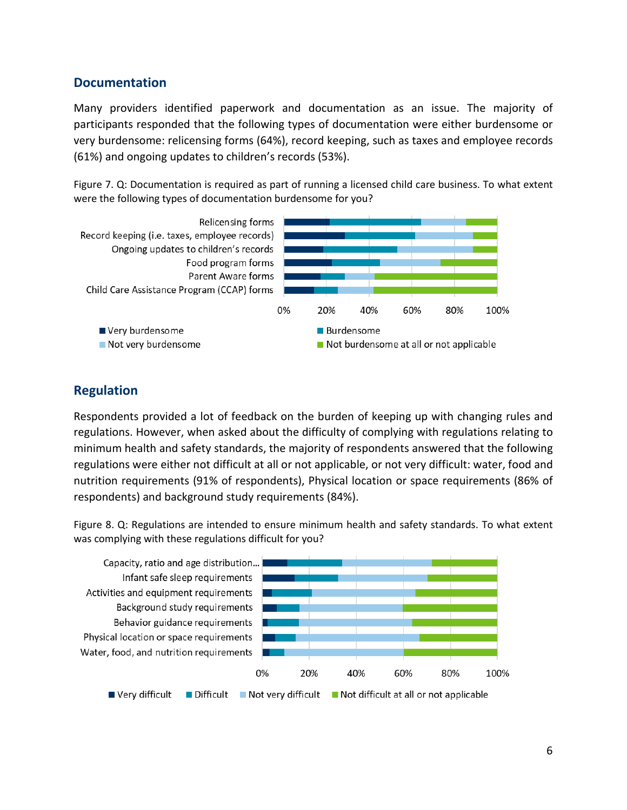#### **Documentation**

Many providers identified paperwork and documentation as an issue. The majority of participants responded that the following types of documentation were either burdensome or very burdensome: relicensing forms (64%), record keeping, such as taxes and employee records (61%) and ongoing updates to children's records (53%).

Figure 7. Q: Documentation is required as part of running a licensed child care business. To what extent were the following types of documentation burdensome for you?



# **Regulation**

Respondents provided a lot of feedback on the burden of keeping up with changing rules and regulations. However, when asked about the difficulty of complying with regulations relating to minimum health and safety standards, the majority of respondents answered that the following regulations were either not difficult at all or not applicable, or not very difficult: water, food and nutrition requirements (91% of respondents), Physical location or space requirements (86% of respondents) and background study requirements (84%).

Figure 8. Q: Regulations are intended to ensure minimum health and safety standards. To what extent was complying with these regulations difficult for you?

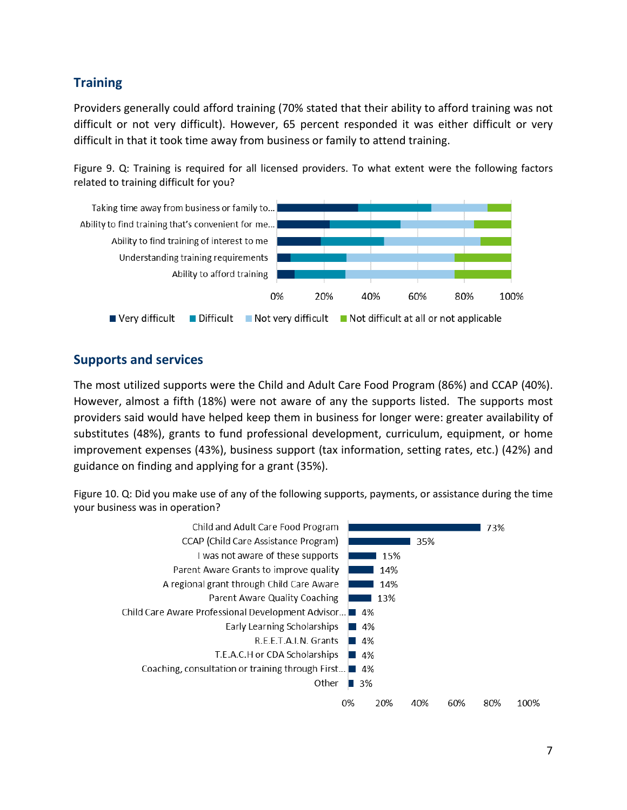# **Training**

Providers generally could afford training (70% stated that their ability to afford training was not difficult or not very difficult). However, 65 percent responded it was either difficult or very difficult in that it took time away from business or family to attend training.

Figure 9. Q: Training is required for all licensed providers. To what extent were the following factors related to training difficult for you?



#### **Supports and services**

The most utilized supports were the Child and Adult Care Food Program (86%) and CCAP (40%). However, almost a fifth (18%) were not aware of any the supports listed. The supports most providers said would have helped keep them in business for longer were: greater availability of substitutes (48%), grants to fund professional development, curriculum, equipment, or home improvement expenses (43%), business support (tax information, setting rates, etc.) (42%) and guidance on finding and applying for a grant (35%).

Figure 10. Q: Did you make use of any of the following supports, payments, or assistance during the time your business was in operation?

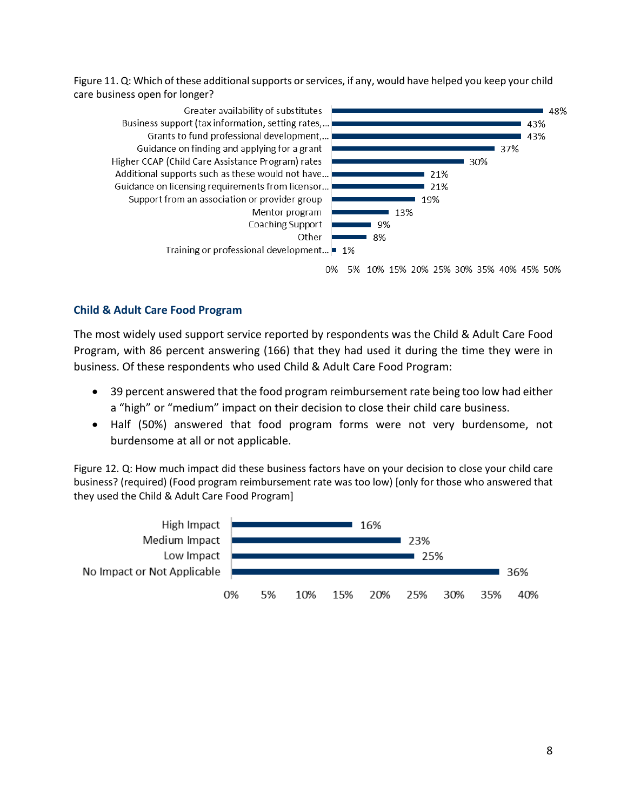Figure 11. Q: Which of these additional supports or services, if any, would have helped you keep your child care business open for longer?



0% 5% 10% 15% 20% 25% 30% 35% 40% 45% 50%

#### **Child & Adult Care Food Program**

The most widely used support service reported by respondents was the Child & Adult Care Food Program, with 86 percent answering (166) that they had used it during the time they were in business. Of these respondents who used Child & Adult Care Food Program:

- 39 percent answered that the food program reimbursement rate being too low had either a "high" or "medium" impact on their decision to close their child care business.
- Half (50%) answered that food program forms were not very burdensome, not burdensome at all or not applicable.

Figure 12. Q: How much impact did these business factors have on your decision to close your child care business? (required) (Food program reimbursement rate was too low) [only for those who answered that they used the Child & Adult Care Food Program]

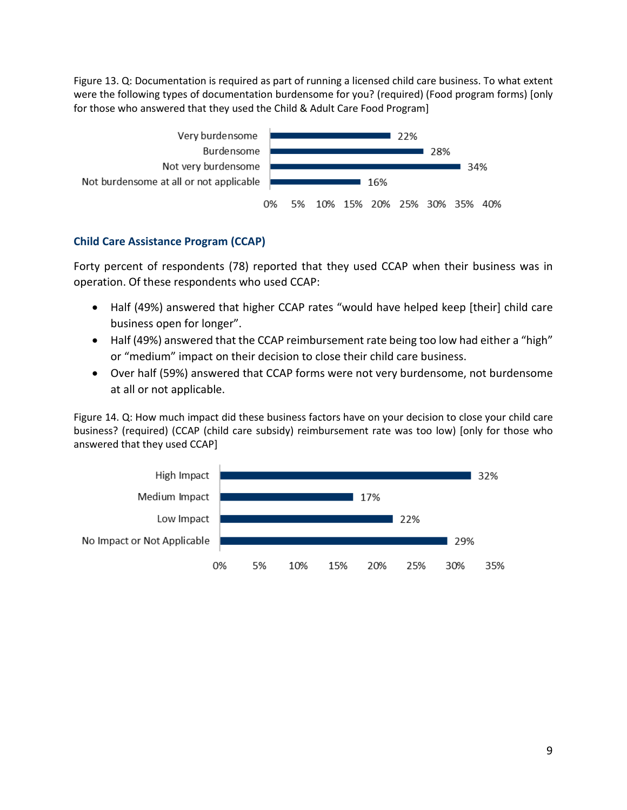Figure 13. Q: Documentation is required as part of running a licensed child care business. To what extent were the following types of documentation burdensome for you? (required) (Food program forms) [only for those who answered that they used the Child & Adult Care Food Program]



#### **Child Care Assistance Program (CCAP)**

Forty percent of respondents (78) reported that they used CCAP when their business was in operation. Of these respondents who used CCAP:

- Half (49%) answered that higher CCAP rates "would have helped keep [their] child care business open for longer".
- Half (49%) answered that the CCAP reimbursement rate being too low had either a "high" or "medium" impact on their decision to close their child care business.
- Over half (59%) answered that CCAP forms were not very burdensome, not burdensome at all or not applicable.

Figure 14. Q: How much impact did these business factors have on your decision to close your child care business? (required) (CCAP (child care subsidy) reimbursement rate was too low) [only for those who answered that they used CCAP]

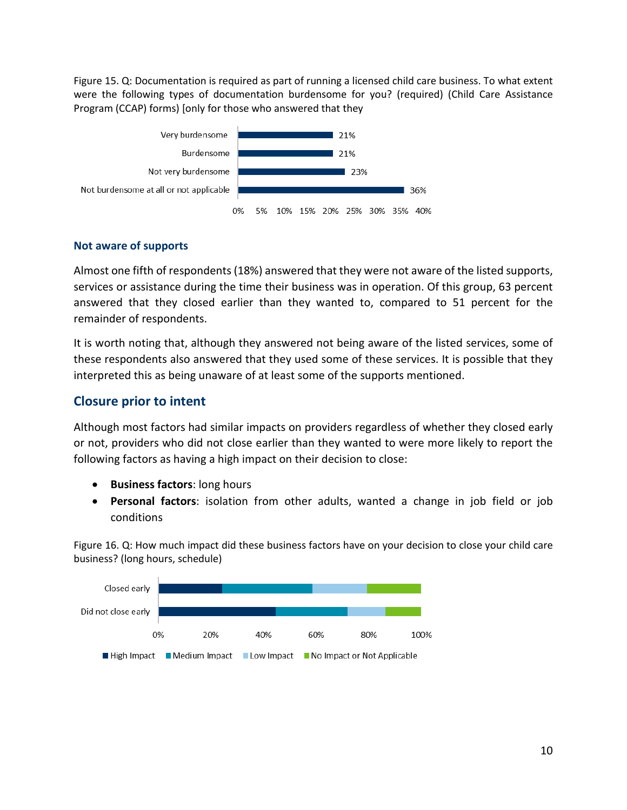Figure 15. Q: Documentation is required as part of running a licensed child care business. To what extent were the following types of documentation burdensome for you? (required) (Child Care Assistance Program (CCAP) forms) [only for those who answered that they



#### **Not aware of supports**

Almost one fifth of respondents (18%) answered that they were not aware of the listed supports, services or assistance during the time their business was in operation. Of this group, 63 percent answered that they closed earlier than they wanted to, compared to 51 percent for the remainder of respondents.

It is worth noting that, although they answered not being aware of the listed services, some of these respondents also answered that they used some of these services. It is possible that they interpreted this as being unaware of at least some of the supports mentioned.

#### **Closure prior to intent**

Although most factors had similar impacts on providers regardless of whether they closed early or not, providers who did not close earlier than they wanted to were more likely to report the following factors as having a high impact on their decision to close:

- **Business factors**: long hours
- **Personal factors**: isolation from other adults, wanted a change in job field or job conditions

Figure 16. Q: How much impact did these business factors have on your decision to close your child care business? (long hours, schedule)

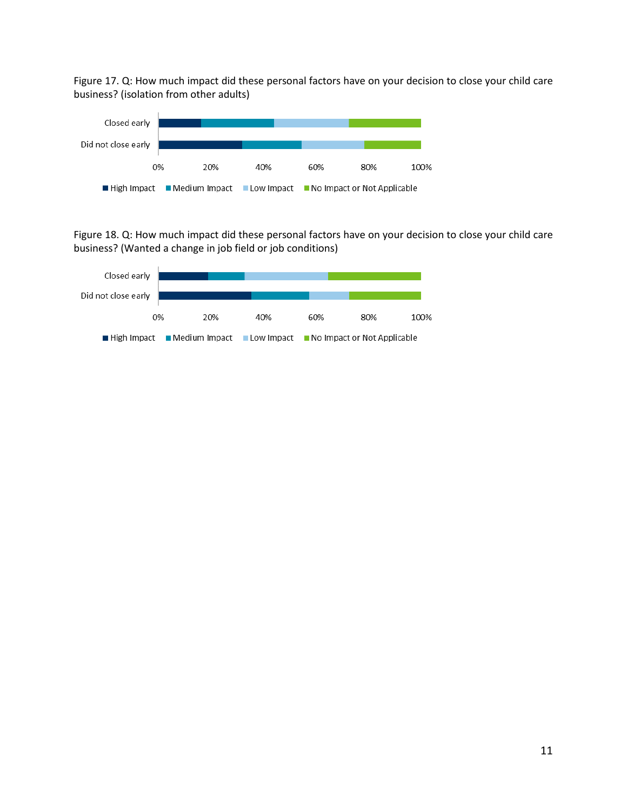Figure 17. Q: How much impact did these personal factors have on your decision to close your child care business? (isolation from other adults)



Figure 18. Q: How much impact did these personal factors have on your decision to close your child care business? (Wanted a change in job field or job conditions)

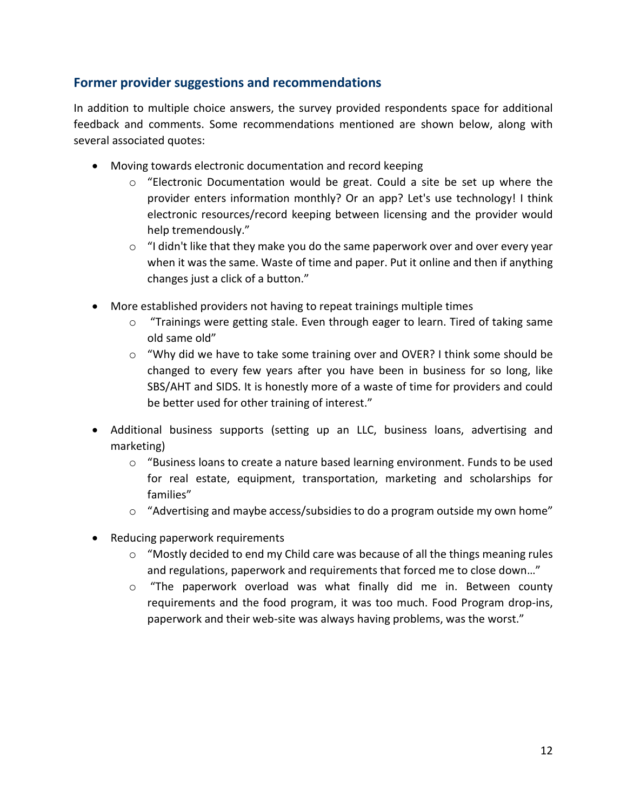## **Former provider suggestions and recommendations**

In addition to multiple choice answers, the survey provided respondents space for additional feedback and comments. Some recommendations mentioned are shown below, along with several associated quotes:

- Moving towards electronic documentation and record keeping
	- $\circ$  "Electronic Documentation would be great. Could a site be set up where the provider enters information monthly? Or an app? Let's use technology! I think electronic resources/record keeping between licensing and the provider would help tremendously."
	- o "I didn't like that they make you do the same paperwork over and over every year when it was the same. Waste of time and paper. Put it online and then if anything changes just a click of a button."
- More established providers not having to repeat trainings multiple times
	- $\circ$  "Trainings were getting stale. Even through eager to learn. Tired of taking same old same old"
	- o "Why did we have to take some training over and OVER? I think some should be changed to every few years after you have been in business for so long, like SBS/AHT and SIDS. It is honestly more of a waste of time for providers and could be better used for other training of interest."
- Additional business supports (setting up an LLC, business loans, advertising and marketing)
	- $\circ$  "Business loans to create a nature based learning environment. Funds to be used for real estate, equipment, transportation, marketing and scholarships for families"
	- $\circ$  "Advertising and maybe access/subsidies to do a program outside my own home"
- Reducing paperwork requirements
	- $\circ$  "Mostly decided to end my Child care was because of all the things meaning rules and regulations, paperwork and requirements that forced me to close down…"
	- $\circ$  "The paperwork overload was what finally did me in. Between county requirements and the food program, it was too much. Food Program drop-ins, paperwork and their web-site was always having problems, was the worst."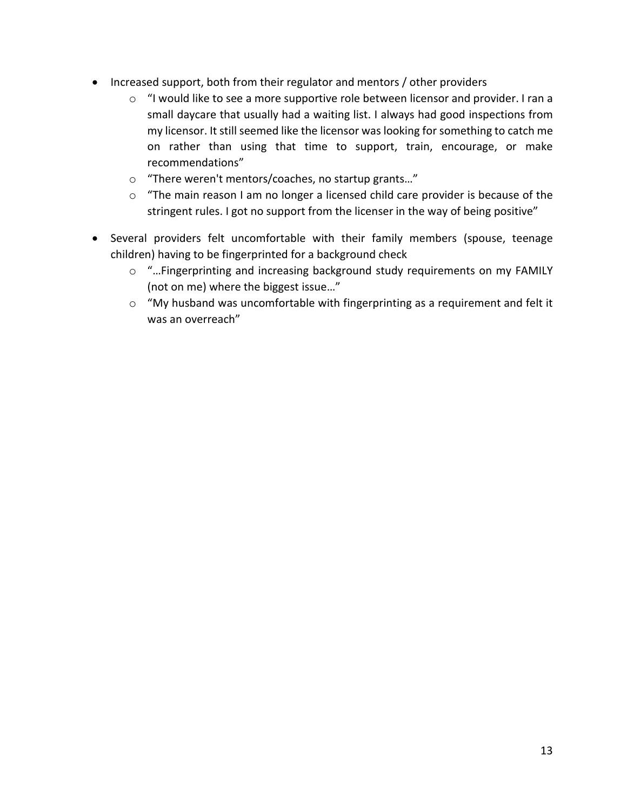- Increased support, both from their regulator and mentors / other providers
	- o "I would like to see a more supportive role between licensor and provider. I ran a small daycare that usually had a waiting list. I always had good inspections from my licensor. It still seemed like the licensor was looking for something to catch me on rather than using that time to support, train, encourage, or make recommendations"
	- o "There weren't mentors/coaches, no startup grants…"
	- o "The main reason I am no longer a licensed child care provider is because of the stringent rules. I got no support from the licenser in the way of being positive"
- Several providers felt uncomfortable with their family members (spouse, teenage children) having to be fingerprinted for a background check
	- o "…Fingerprinting and increasing background study requirements on my FAMILY (not on me) where the biggest issue…"
	- o "My husband was uncomfortable with fingerprinting as a requirement and felt it was an overreach"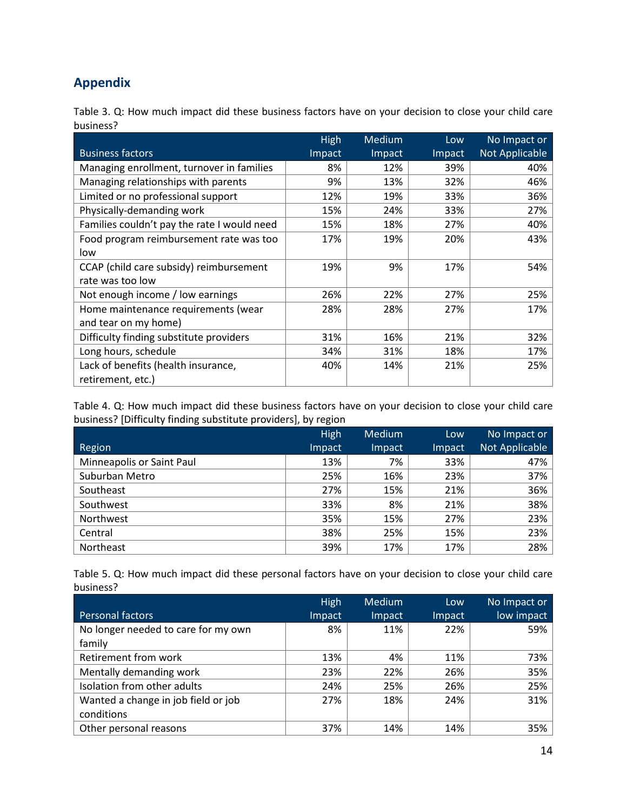# **Appendix**

Table 3. Q: How much impact did these business factors have on your decision to close your child care business?

|                                             | High   | <b>Medium</b> | Low    | No Impact or   |
|---------------------------------------------|--------|---------------|--------|----------------|
| <b>Business factors</b>                     | Impact | Impact        | Impact | Not Applicable |
| Managing enrollment, turnover in families   | 8%     | 12%           | 39%    | 40%            |
| Managing relationships with parents         | 9%     | 13%           | 32%    | 46%            |
| Limited or no professional support          | 12%    | 19%           | 33%    | 36%            |
| Physically-demanding work                   | 15%    | 24%           | 33%    | 27%            |
| Families couldn't pay the rate I would need | 15%    | 18%           | 27%    | 40%            |
| Food program reimbursement rate was too     | 17%    | 19%           | 20%    | 43%            |
| low                                         |        |               |        |                |
| CCAP (child care subsidy) reimbursement     | 19%    | 9%            | 17%    | 54%            |
| rate was too low                            |        |               |        |                |
| Not enough income / low earnings            | 26%    | 22%           | 27%    | 25%            |
| Home maintenance requirements (wear         | 28%    | 28%           | 27%    | 17%            |
| and tear on my home)                        |        |               |        |                |
| Difficulty finding substitute providers     | 31%    | 16%           | 21%    | 32%            |
| Long hours, schedule                        | 34%    | 31%           | 18%    | 17%            |
| Lack of benefits (health insurance,         | 40%    | 14%           | 21%    | 25%            |
| retirement, etc.)                           |        |               |        |                |

Table 4. Q: How much impact did these business factors have on your decision to close your child care business? [Difficulty finding substitute providers], by region

|                                  | <b>High</b> | Medium | Low    | No Impact or   |
|----------------------------------|-------------|--------|--------|----------------|
| Region                           | Impact      | Impact | Impact | Not Applicable |
| <b>Minneapolis or Saint Paul</b> | 13%         | 7%     | 33%    | 47%            |
| Suburban Metro                   | 25%         | 16%    | 23%    | 37%            |
| Southeast                        | 27%         | 15%    | 21%    | 36%            |
| Southwest                        | 33%         | 8%     | 21%    | 38%            |
| Northwest                        | 35%         | 15%    | 27%    | 23%            |
| Central                          | 38%         | 25%    | 15%    | 23%            |
| Northeast                        | 39%         | 17%    | 17%    | 28%            |

| Table 5. Q: How much impact did these personal factors have on your decision to close your child care |  |  |  |  |  |  |
|-------------------------------------------------------------------------------------------------------|--|--|--|--|--|--|
| business?                                                                                             |  |  |  |  |  |  |

|                                     | <b>High</b> | Medium | Low    | No Impact or |
|-------------------------------------|-------------|--------|--------|--------------|
| Personal factors                    | Impact      | Impact | Impact | low impact   |
| No longer needed to care for my own | 8%          | 11%    | 22%    | 59%          |
| family                              |             |        |        |              |
| Retirement from work                | 13%         | 4%     | 11%    | 73%          |
| Mentally demanding work             | 23%         | 22%    | 26%    | 35%          |
| Isolation from other adults         | 24%         | 25%    | 26%    | 25%          |
| Wanted a change in job field or job | 27%         | 18%    | 24%    | 31%          |
| conditions                          |             |        |        |              |
| Other personal reasons              | 37%         | 14%    | 14%    | 35%          |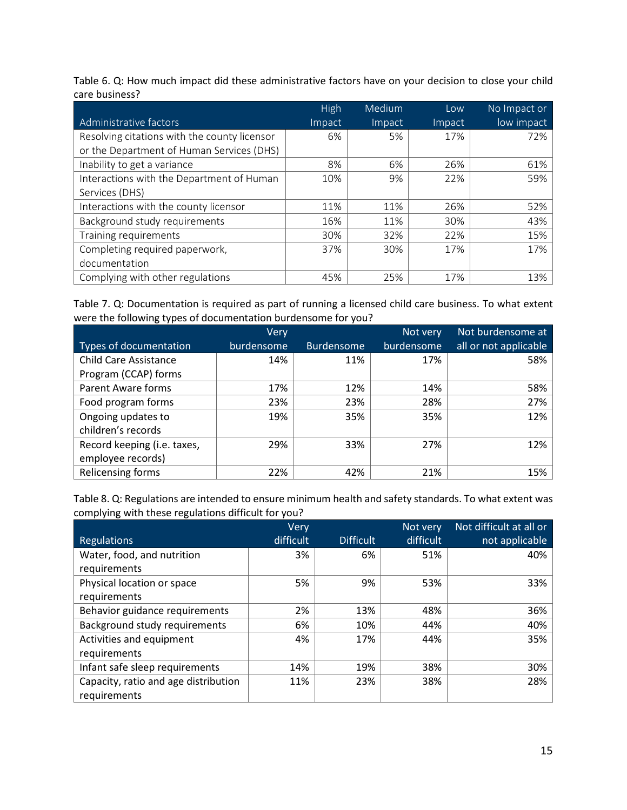Table 6. Q: How much impact did these administrative factors have on your decision to close your child care business?

|                                              | High   | Medium | Low    | No Impact or |
|----------------------------------------------|--------|--------|--------|--------------|
| Administrative factors                       | Impact | Impact | Impact | low impact   |
| Resolving citations with the county licensor | 6%     | 5%     | 17%    | 72%          |
| or the Department of Human Services (DHS)    |        |        |        |              |
| Inability to get a variance                  | 8%     | 6%     | 26%    | 61%          |
| Interactions with the Department of Human    | 10%    | 9%     | 22%    | 59%          |
| Services (DHS)                               |        |        |        |              |
| Interactions with the county licensor        | 11%    | 11%    | 26%    | 52%          |
| Background study requirements                | 16%    | 11%    | 30%    | 43%          |
| Training requirements                        | 30%    | 32%    | 22%    | 15%          |
| Completing required paperwork,               | 37%    | 30%    | 17%    | 17%          |
| documentation                                |        |        |        |              |
| Complying with other regulations             | 45%    | 25%    | 17%    | 13%          |

Table 7. Q: Documentation is required as part of running a licensed child care business. To what extent were the following types of documentation burdensome for you?

|                              | Very       |                   | Not very   | Not burdensome at     |
|------------------------------|------------|-------------------|------------|-----------------------|
| Types of documentation       | burdensome | <b>Burdensome</b> | burdensome | all or not applicable |
| <b>Child Care Assistance</b> | 14%        | 11%               | 17%        | 58%                   |
| Program (CCAP) forms         |            |                   |            |                       |
| <b>Parent Aware forms</b>    | 17%        | 12%               | 14%        | 58%                   |
| Food program forms           | 23%        | 23%               | 28%        | 27%                   |
| Ongoing updates to           | 19%        | 35%               | 35%        | 12%                   |
| children's records           |            |                   |            |                       |
| Record keeping (i.e. taxes,  | 29%        | 33%               | 27%        | 12%                   |
| employee records)            |            |                   |            |                       |
| Relicensing forms            | 22%        | 42%               | 21%        | 15%                   |

Table 8. Q: Regulations are intended to ensure minimum health and safety standards. To what extent was complying with these regulations difficult for you?

|                                      | Very      |                  | Not very  | Not difficult at all or |
|--------------------------------------|-----------|------------------|-----------|-------------------------|
| <b>Regulations</b>                   | difficult | <b>Difficult</b> | difficult | not applicable          |
| Water, food, and nutrition           | 3%        | 6%               | 51%       | 40%                     |
| requirements                         |           |                  |           |                         |
| Physical location or space           | 5%        | 9%               | 53%       | 33%                     |
| requirements                         |           |                  |           |                         |
| Behavior guidance requirements       | 2%        | 13%              | 48%       | 36%                     |
| Background study requirements        | 6%        | 10%              | 44%       | 40%                     |
| Activities and equipment             | 4%        | 17%              | 44%       | 35%                     |
| requirements                         |           |                  |           |                         |
| Infant safe sleep requirements       | 14%       | 19%              | 38%       | 30%                     |
| Capacity, ratio and age distribution | 11%       | 23%              | 38%       | 28%                     |
| requirements                         |           |                  |           |                         |